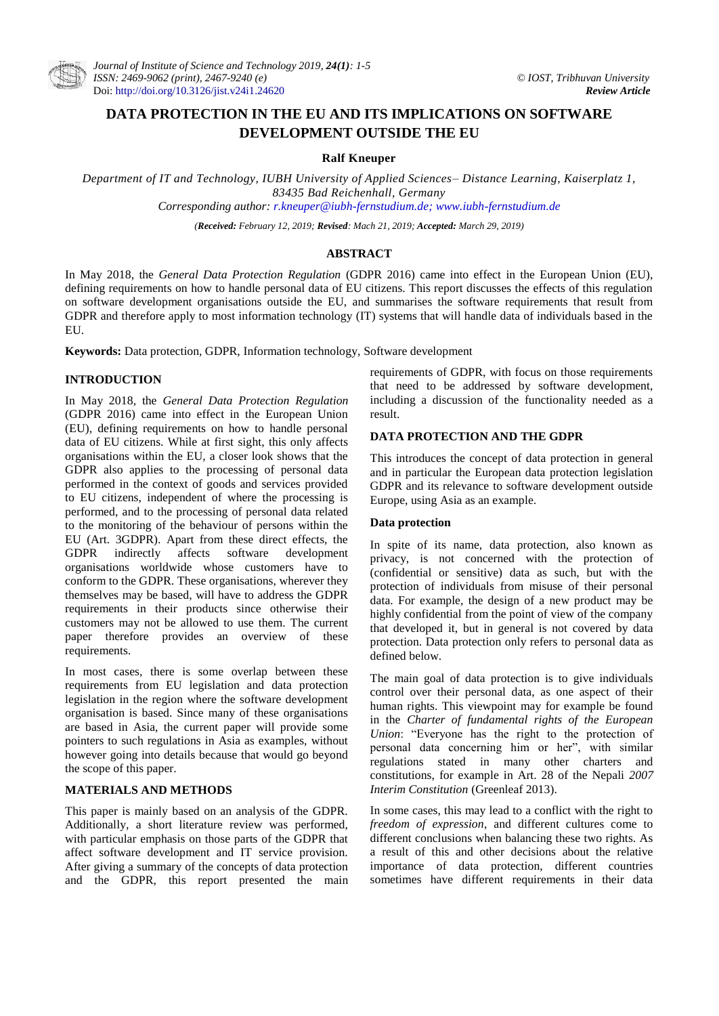

# **DATA PROTECTION IN THE EU AND ITS IMPLICATIONS ON SOFTWARE DEVELOPMENT OUTSIDE THE EU**

# **Ralf Kneuper**

*Department of IT and Technology, IUBH University of Applied Sciences– Distance Learning, Kaiserplatz 1, 83435 Bad Reichenhall, Germany*

*Corresponding author[: r.kneuper@iubh-fernstudium.de;](mailto:r.kneuper@iubh-fernstudium.de) [www.iubh-fernstudium.de](http://www.iubh-fernstudium.de/)*

*(Received: February 12, 2019; Revised: Mach 21, 2019; Accepted: March 29, 2019)*

# **ABSTRACT**

In May 2018, the *General Data Protection Regulation* (GDPR 2016) came into effect in the European Union (EU), defining requirements on how to handle personal data of EU citizens. This report discusses the effects of this regulation on software development organisations outside the EU, and summarises the software requirements that result from GDPR and therefore apply to most information technology (IT) systems that will handle data of individuals based in the EU.

**Keywords:** Data protection, GDPR, Information technology, Software development

## **INTRODUCTION**

In May 2018, the *General Data Protection Regulation*  (GDPR 2016) came into effect in the European Union (EU), defining requirements on how to handle personal data of EU citizens. While at first sight, this only affects organisations within the EU, a closer look shows that the GDPR also applies to the processing of personal data performed in the context of goods and services provided to EU citizens, independent of where the processing is performed, and to the processing of personal data related to the monitoring of the behaviour of persons within the EU (Art. 3GDPR). Apart from these direct effects, the GDPR indirectly affects software development organisations worldwide whose customers have to conform to the GDPR. These organisations, wherever they themselves may be based, will have to address the GDPR requirements in their products since otherwise their customers may not be allowed to use them. The current paper therefore provides an overview of these requirements.

In most cases, there is some overlap between these requirements from EU legislation and data protection legislation in the region where the software development organisation is based. Since many of these organisations are based in Asia, the current paper will provide some pointers to such regulations in Asia as examples, without however going into details because that would go beyond the scope of this paper.

# **MATERIALS AND METHODS**

This paper is mainly based on an analysis of the GDPR. Additionally, a short literature review was performed, with particular emphasis on those parts of the GDPR that affect software development and IT service provision. After giving a summary of the concepts of data protection and the GDPR, this report presented the main requirements of GDPR, with focus on those requirements that need to be addressed by software development, including a discussion of the functionality needed as a result.

## **DATA PROTECTION AND THE GDPR**

This introduces the concept of data protection in general and in particular the European data protection legislation GDPR and its relevance to software development outside Europe, using Asia as an example.

#### **Data protection**

In spite of its name, data protection, also known as privacy, is not concerned with the protection of (confidential or sensitive) data as such, but with the protection of individuals from misuse of their personal data. For example, the design of a new product may be highly confidential from the point of view of the company that developed it, but in general is not covered by data protection. Data protection only refers to personal data as defined below.

The main goal of data protection is to give individuals control over their personal data, as one aspect of their human rights. This viewpoint may for example be found in the *Charter of fundamental rights of the European Union*: "Everyone has the right to the protection of personal data concerning him or her", with similar regulations stated in many other charters and constitutions, for example in Art. 28 of the Nepali *2007 Interim Constitution* (Greenleaf 2013).

In some cases, this may lead to a conflict with the right to *freedom of expression*, and different cultures come to different conclusions when balancing these two rights. As a result of this and other decisions about the relative importance of data protection, different countries sometimes have different requirements in their data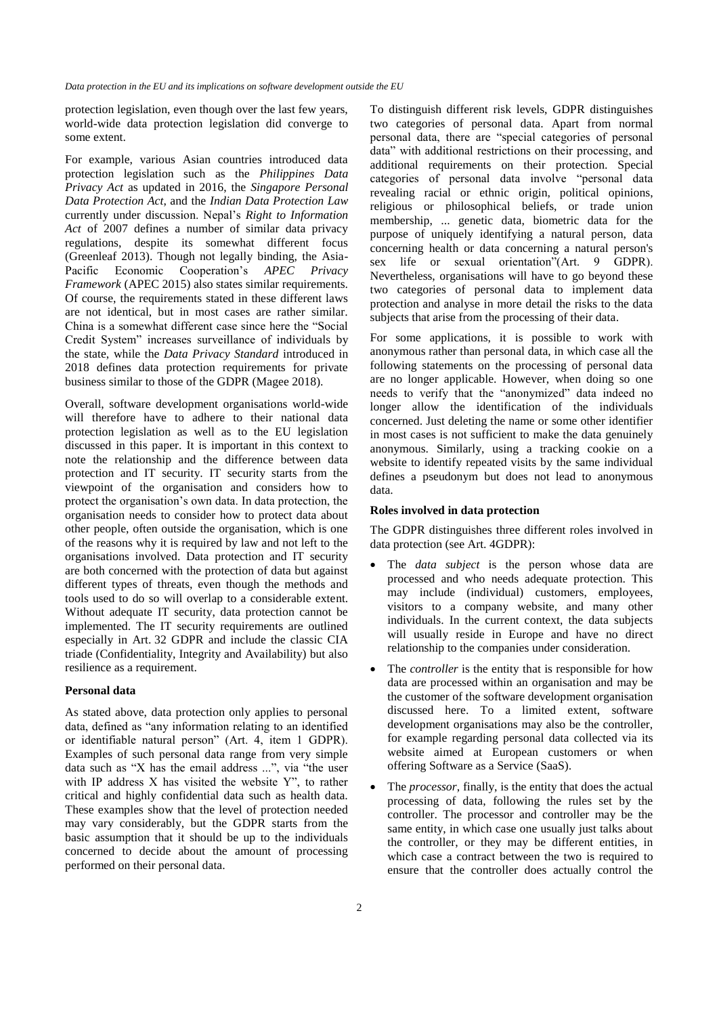protection legislation, even though over the last few years, world-wide data protection legislation did converge to some extent.

For example, various Asian countries introduced data protection legislation such as the *Philippines Data Privacy Act* as updated in 2016, the *Singapore Personal Data Protection Act*, and the *Indian Data Protection Law* currently under discussion. Nepal's *Right to Information Act* of 2007 defines a number of similar data privacy regulations, despite its somewhat different focus (Greenleaf 2013). Though not legally binding, the Asia-Pacific Economic Cooperation's *APEC Privacy Framework* (APEC 2015) also states similar requirements. Of course, the requirements stated in these different laws are not identical, but in most cases are rather similar. China is a somewhat different case since here the "Social Credit System" increases surveillance of individuals by the state, while the *Data Privacy Standard* introduced in 2018 defines data protection requirements for private business similar to those of the GDPR (Magee 2018).

Overall, software development organisations world-wide will therefore have to adhere to their national data protection legislation as well as to the EU legislation discussed in this paper. It is important in this context to note the relationship and the difference between data protection and IT security. IT security starts from the viewpoint of the organisation and considers how to protect the organisation's own data. In data protection, the organisation needs to consider how to protect data about other people, often outside the organisation, which is one of the reasons why it is required by law and not left to the organisations involved. Data protection and IT security are both concerned with the protection of data but against different types of threats, even though the methods and tools used to do so will overlap to a considerable extent. Without adequate IT security, data protection cannot be implemented. The IT security requirements are outlined especially in Art. 32 GDPR and include the classic CIA triade (Confidentiality, Integrity and Availability) but also resilience as a requirement.

#### **Personal data**

As stated above, data protection only applies to personal data, defined as "any information relating to an identified or identifiable natural person" (Art. 4, item 1 GDPR). Examples of such personal data range from very simple data such as "X has the email address ...", via "the user with IP address X has visited the website Y", to rather critical and highly confidential data such as health data. These examples show that the level of protection needed may vary considerably, but the GDPR starts from the basic assumption that it should be up to the individuals concerned to decide about the amount of processing performed on their personal data.

To distinguish different risk levels, GDPR distinguishes two categories of personal data. Apart from normal personal data, there are "special categories of personal data" with additional restrictions on their processing, and additional requirements on their protection. Special categories of personal data involve "personal data revealing racial or ethnic origin, political opinions, religious or philosophical beliefs, or trade union membership, ... genetic data, biometric data for the purpose of uniquely identifying a natural person, data concerning health or data concerning a natural person's sex life or sexual orientation"(Art. 9 GDPR). Nevertheless, organisations will have to go beyond these two categories of personal data to implement data protection and analyse in more detail the risks to the data subjects that arise from the processing of their data.

For some applications, it is possible to work with anonymous rather than personal data, in which case all the following statements on the processing of personal data are no longer applicable. However, when doing so one needs to verify that the "anonymized" data indeed no longer allow the identification of the individuals concerned. Just deleting the name or some other identifier in most cases is not sufficient to make the data genuinely anonymous. Similarly, using a tracking cookie on a website to identify repeated visits by the same individual defines a pseudonym but does not lead to anonymous data.

#### **Roles involved in data protection**

The GDPR distinguishes three different roles involved in data protection (see Art. 4GDPR):

- The *data subject* is the person whose data are processed and who needs adequate protection. This may include (individual) customers, employees, visitors to a company website, and many other individuals. In the current context, the data subjects will usually reside in Europe and have no direct relationship to the companies under consideration.
- The *controller* is the entity that is responsible for how data are processed within an organisation and may be the customer of the software development organisation discussed here. To a limited extent, software development organisations may also be the controller, for example regarding personal data collected via its website aimed at European customers or when offering Software as a Service (SaaS).
- The *processor*, finally, is the entity that does the actual processing of data, following the rules set by the controller. The processor and controller may be the same entity, in which case one usually just talks about the controller, or they may be different entities, in which case a contract between the two is required to ensure that the controller does actually control the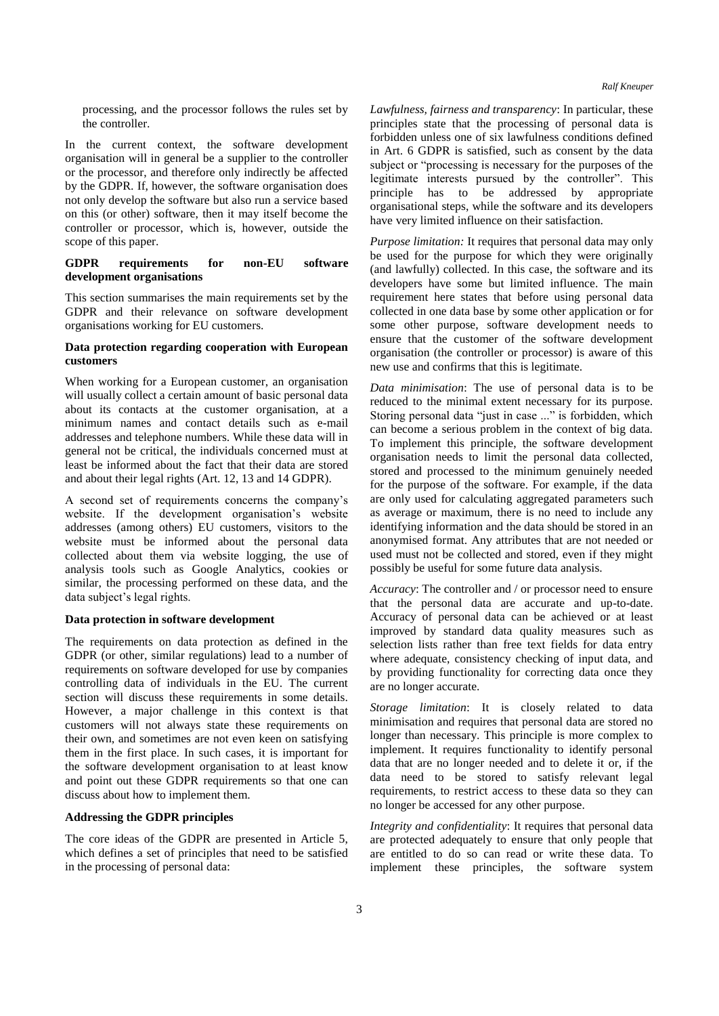processing, and the processor follows the rules set by the controller.

In the current context, the software development organisation will in general be a supplier to the controller or the processor, and therefore only indirectly be affected by the GDPR. If, however, the software organisation does not only develop the software but also run a service based on this (or other) software, then it may itself become the controller or processor, which is, however, outside the scope of this paper.

## **GDPR requirements for non-EU software development organisations**

This section summarises the main requirements set by the GDPR and their relevance on software development organisations working for EU customers.

# **Data protection regarding cooperation with European customers**

When working for a European customer, an organisation will usually collect a certain amount of basic personal data about its contacts at the customer organisation, at a minimum names and contact details such as e-mail addresses and telephone numbers. While these data will in general not be critical, the individuals concerned must at least be informed about the fact that their data are stored and about their legal rights (Art. 12, 13 and 14 GDPR).

A second set of requirements concerns the company's website. If the development organisation's website addresses (among others) EU customers, visitors to the website must be informed about the personal data collected about them via website logging, the use of analysis tools such as Google Analytics, cookies or similar, the processing performed on these data, and the data subject's legal rights.

# **Data protection in software development**

The requirements on data protection as defined in the GDPR (or other, similar regulations) lead to a number of requirements on software developed for use by companies controlling data of individuals in the EU. The current section will discuss these requirements in some details. However, a major challenge in this context is that customers will not always state these requirements on their own, and sometimes are not even keen on satisfying them in the first place. In such cases, it is important for the software development organisation to at least know and point out these GDPR requirements so that one can discuss about how to implement them.

## **Addressing the GDPR principles**

The core ideas of the GDPR are presented in Article 5, which defines a set of principles that need to be satisfied in the processing of personal data:

*Lawfulness, fairness and transparency*: In particular, these principles state that the processing of personal data is forbidden unless one of six lawfulness conditions defined in Art. 6 GDPR is satisfied, such as consent by the data subject or "processing is necessary for the purposes of the legitimate interests pursued by the controller". This principle has to be addressed by appropriate organisational steps, while the software and its developers have very limited influence on their satisfaction.

*Purpose limitation:* It requires that personal data may only be used for the purpose for which they were originally (and lawfully) collected. In this case, the software and its developers have some but limited influence. The main requirement here states that before using personal data collected in one data base by some other application or for some other purpose, software development needs to ensure that the customer of the software development organisation (the controller or processor) is aware of this new use and confirms that this is legitimate.

*Data minimisation*: The use of personal data is to be reduced to the minimal extent necessary for its purpose. Storing personal data "just in case ..." is forbidden, which can become a serious problem in the context of big data. To implement this principle, the software development organisation needs to limit the personal data collected, stored and processed to the minimum genuinely needed for the purpose of the software. For example, if the data are only used for calculating aggregated parameters such as average or maximum, there is no need to include any identifying information and the data should be stored in an anonymised format. Any attributes that are not needed or used must not be collected and stored, even if they might possibly be useful for some future data analysis.

*Accuracy*: The controller and / or processor need to ensure that the personal data are accurate and up-to-date. Accuracy of personal data can be achieved or at least improved by standard data quality measures such as selection lists rather than free text fields for data entry where adequate, consistency checking of input data, and by providing functionality for correcting data once they are no longer accurate.

*Storage limitation*: It is closely related to data minimisation and requires that personal data are stored no longer than necessary. This principle is more complex to implement. It requires functionality to identify personal data that are no longer needed and to delete it or, if the data need to be stored to satisfy relevant legal requirements, to restrict access to these data so they can no longer be accessed for any other purpose.

*Integrity and confidentiality*: It requires that personal data are protected adequately to ensure that only people that are entitled to do so can read or write these data. To implement these principles, the software system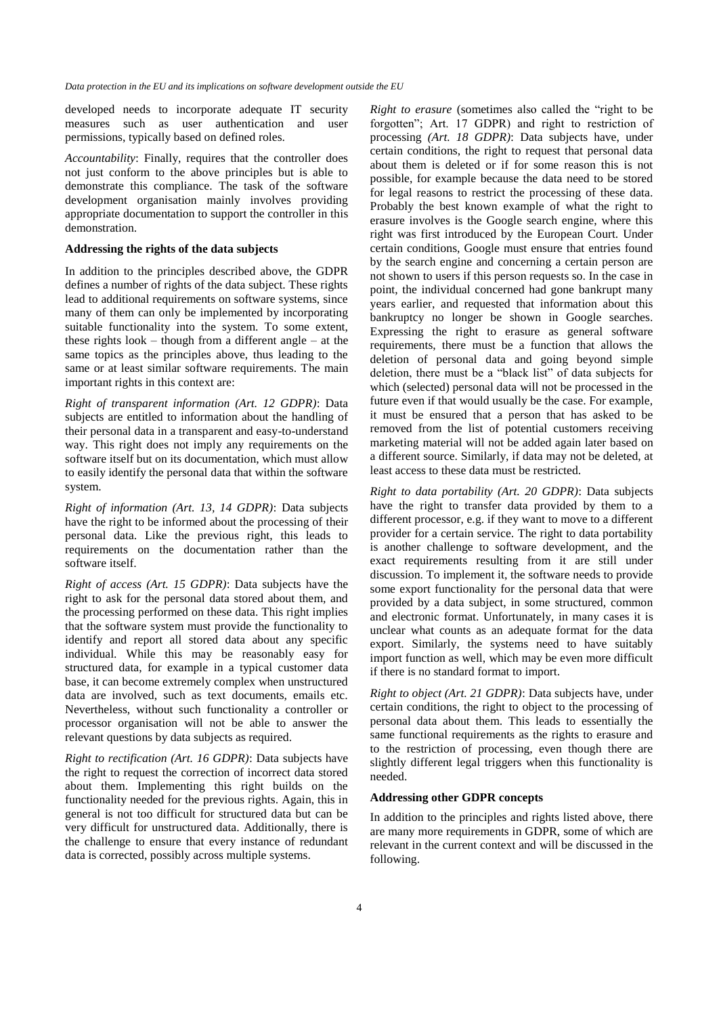developed needs to incorporate adequate IT security measures such as user authentication and user permissions, typically based on defined roles.

*Accountability*: Finally, requires that the controller does not just conform to the above principles but is able to demonstrate this compliance. The task of the software development organisation mainly involves providing appropriate documentation to support the controller in this demonstration.

#### **Addressing the rights of the data subjects**

In addition to the principles described above, the GDPR defines a number of rights of the data subject. These rights lead to additional requirements on software systems, since many of them can only be implemented by incorporating suitable functionality into the system. To some extent, these rights look – though from a different angle – at the same topics as the principles above, thus leading to the same or at least similar software requirements. The main important rights in this context are:

*Right of transparent information (Art. 12 GDPR)*: Data subjects are entitled to information about the handling of their personal data in a transparent and easy-to-understand way. This right does not imply any requirements on the software itself but on its documentation, which must allow to easily identify the personal data that within the software system.

*Right of information (Art. 13, 14 GDPR)*: Data subjects have the right to be informed about the processing of their personal data. Like the previous right, this leads to requirements on the documentation rather than the software itself.

*Right of access (Art. 15 GDPR)*: Data subjects have the right to ask for the personal data stored about them, and the processing performed on these data. This right implies that the software system must provide the functionality to identify and report all stored data about any specific individual. While this may be reasonably easy for structured data, for example in a typical customer data base, it can become extremely complex when unstructured data are involved, such as text documents, emails etc. Nevertheless, without such functionality a controller or processor organisation will not be able to answer the relevant questions by data subjects as required.

*Right to rectification (Art. 16 GDPR)*: Data subjects have the right to request the correction of incorrect data stored about them. Implementing this right builds on the functionality needed for the previous rights. Again, this in general is not too difficult for structured data but can be very difficult for unstructured data. Additionally, there is the challenge to ensure that every instance of redundant data is corrected, possibly across multiple systems.

*Right to erasure* (sometimes also called the "right to be forgotten"; Art. 17 GDPR) and right to restriction of processing *(Art. 18 GDPR)*: Data subjects have, under certain conditions, the right to request that personal data about them is deleted or if for some reason this is not possible, for example because the data need to be stored for legal reasons to restrict the processing of these data. Probably the best known example of what the right to erasure involves is the Google search engine, where this right was first introduced by the European Court. Under certain conditions, Google must ensure that entries found by the search engine and concerning a certain person are not shown to users if this person requests so. In the case in point, the individual concerned had gone bankrupt many years earlier, and requested that information about this bankruptcy no longer be shown in Google searches. Expressing the right to erasure as general software requirements, there must be a function that allows the deletion of personal data and going beyond simple deletion, there must be a "black list" of data subjects for which (selected) personal data will not be processed in the future even if that would usually be the case. For example, it must be ensured that a person that has asked to be removed from the list of potential customers receiving marketing material will not be added again later based on a different source. Similarly, if data may not be deleted, at least access to these data must be restricted.

*Right to data portability (Art. 20 GDPR)*: Data subjects have the right to transfer data provided by them to a different processor, e.g. if they want to move to a different provider for a certain service. The right to data portability is another challenge to software development, and the exact requirements resulting from it are still under discussion. To implement it, the software needs to provide some export functionality for the personal data that were provided by a data subject, in some structured, common and electronic format. Unfortunately, in many cases it is unclear what counts as an adequate format for the data export. Similarly, the systems need to have suitably import function as well, which may be even more difficult if there is no standard format to import.

*Right to object (Art. 21 GDPR)*: Data subjects have, under certain conditions, the right to object to the processing of personal data about them. This leads to essentially the same functional requirements as the rights to erasure and to the restriction of processing, even though there are slightly different legal triggers when this functionality is needed.

## **Addressing other GDPR concepts**

In addition to the principles and rights listed above, there are many more requirements in GDPR, some of which are relevant in the current context and will be discussed in the following.